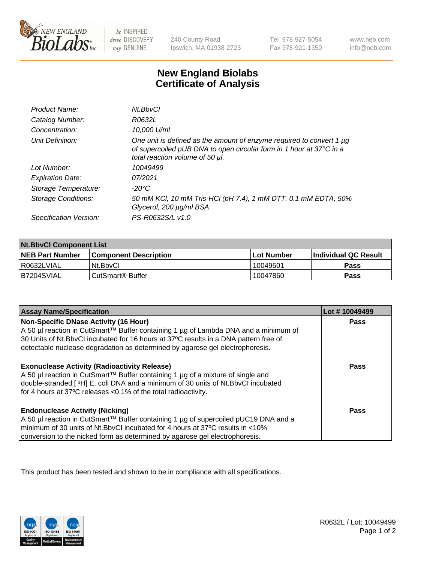

be INSPIRED drive DISCOVERY stay GENUINE

240 County Road Ipswich, MA 01938-2723

Tel 978-927-5054 Fax 978-921-1350

www.neb.com info@neb.com

## **New England Biolabs Certificate of Analysis**

| Product Name:              | Nt.BbvCl                                                                                                                                                                       |
|----------------------------|--------------------------------------------------------------------------------------------------------------------------------------------------------------------------------|
| Catalog Number:            | R0632L                                                                                                                                                                         |
| Concentration:             | 10,000 U/ml                                                                                                                                                                    |
| Unit Definition:           | One unit is defined as the amount of enzyme required to convert 1 µg<br>of supercoiled pUB DNA to open circular form in 1 hour at 37°C in a<br>total reaction volume of 50 µl. |
| Lot Number:                | 10049499                                                                                                                                                                       |
| <b>Expiration Date:</b>    | 07/2021                                                                                                                                                                        |
| Storage Temperature:       | -20°C                                                                                                                                                                          |
| <b>Storage Conditions:</b> | 50 mM KCl, 10 mM Tris-HCl (pH 7.4), 1 mM DTT, 0.1 mM EDTA, 50%<br>Glycerol, 200 µg/ml BSA                                                                                      |
| Specification Version:     | PS-R0632S/L v1.0                                                                                                                                                               |

| <b>Nt.BbvCl Component List</b> |                              |            |                             |  |
|--------------------------------|------------------------------|------------|-----------------------------|--|
| <b>NEB Part Number</b>         | <b>Component Description</b> | Lot Number | <b>Individual QC Result</b> |  |
| I R0632LVIAL                   | Nt.BbvCl                     | 10049501   | Pass                        |  |
| IB7204SVIAL                    | CutSmart® Buffer             | 10047860   | <b>Pass</b>                 |  |

| <b>Assay Name/Specification</b>                                                                                                                                                                                                                                                                       | Lot #10049499 |
|-------------------------------------------------------------------------------------------------------------------------------------------------------------------------------------------------------------------------------------------------------------------------------------------------------|---------------|
| Non-Specific DNase Activity (16 Hour)<br>A 50 µl reaction in CutSmart™ Buffer containing 1 µg of Lambda DNA and a minimum of<br>30 Units of Nt.BbvCI incubated for 16 hours at 37°C results in a DNA pattern free of<br>detectable nuclease degradation as determined by agarose gel electrophoresis. | <b>Pass</b>   |
| <b>Exonuclease Activity (Radioactivity Release)</b><br>A 50 µl reaction in CutSmart™ Buffer containing 1 µg of a mixture of single and<br>double-stranded [3H] E. coli DNA and a minimum of 30 units of Nt.BbvCl incubated<br>for 4 hours at 37°C releases <0.1% of the total radioactivity.          | Pass          |
| <b>Endonuclease Activity (Nicking)</b><br>A 50 µl reaction in CutSmart™ Buffer containing 1 µg of supercoiled pUC19 DNA and a<br>minimum of 30 units of Nt.BbyCI incubated for 4 hours at 37°C results in <10%<br>conversion to the nicked form as determined by agarose gel electrophoresis.         | Pass          |

This product has been tested and shown to be in compliance with all specifications.